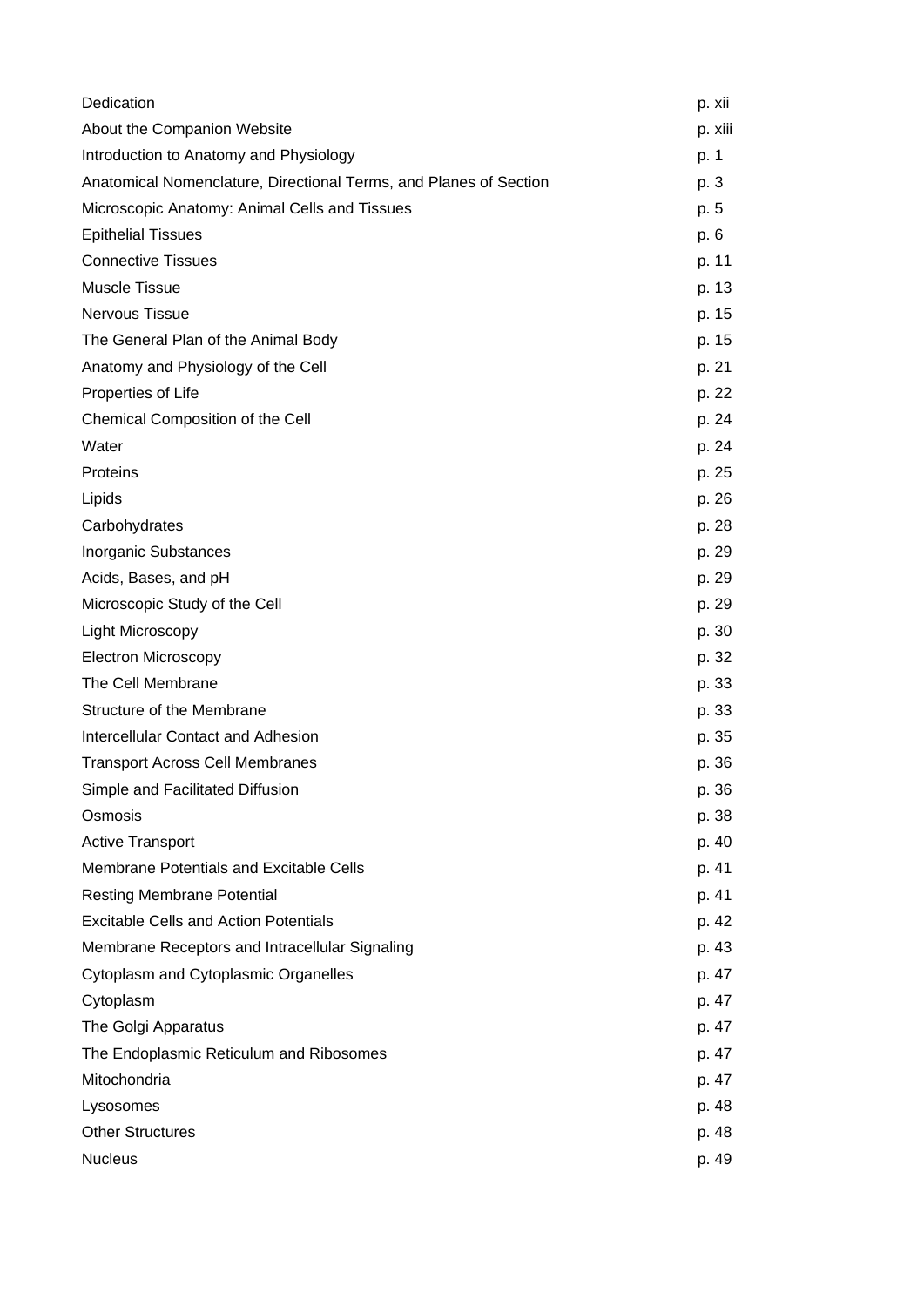| Dedication                                                        | p. xii  |
|-------------------------------------------------------------------|---------|
| About the Companion Website                                       | p. xiii |
| Introduction to Anatomy and Physiology                            | p. 1    |
| Anatomical Nomenclature, Directional Terms, and Planes of Section | p. 3    |
| Microscopic Anatomy: Animal Cells and Tissues                     | p. 5    |
| <b>Epithelial Tissues</b>                                         | p. 6    |
| <b>Connective Tissues</b>                                         | p. 11   |
| Muscle Tissue                                                     | p. 13   |
| <b>Nervous Tissue</b>                                             | p. 15   |
| The General Plan of the Animal Body                               | p. 15   |
| Anatomy and Physiology of the Cell                                | p. 21   |
| Properties of Life                                                | p. 22   |
| Chemical Composition of the Cell                                  | p. 24   |
| Water                                                             | p. 24   |
| Proteins                                                          | p. 25   |
| Lipids                                                            | p. 26   |
| Carbohydrates                                                     | p. 28   |
| Inorganic Substances                                              | p. 29   |
| Acids, Bases, and pH                                              | p. 29   |
| Microscopic Study of the Cell                                     | p. 29   |
| <b>Light Microscopy</b>                                           | p. 30   |
| <b>Electron Microscopy</b>                                        | p. 32   |
| The Cell Membrane                                                 | p. 33   |
| Structure of the Membrane                                         | p. 33   |
| <b>Intercellular Contact and Adhesion</b>                         | p. 35   |
| <b>Transport Across Cell Membranes</b>                            | p. 36   |
| Simple and Facilitated Diffusion                                  | p. 36   |
| Osmosis                                                           | p. 38   |
| <b>Active Transport</b>                                           | p. 40   |
| Membrane Potentials and Excitable Cells                           | p. 41   |
| <b>Resting Membrane Potential</b>                                 | p. 41   |
| <b>Excitable Cells and Action Potentials</b>                      | p. 42   |
| Membrane Receptors and Intracellular Signaling                    | p. 43   |
| Cytoplasm and Cytoplasmic Organelles                              | p. 47   |
| Cytoplasm                                                         | p. 47   |
| The Golgi Apparatus                                               | p. 47   |
| The Endoplasmic Reticulum and Ribosomes                           | p. 47   |
| Mitochondria                                                      | p. 47   |
| Lysosomes                                                         | p. 48   |
| <b>Other Structures</b>                                           | p. 48   |
| <b>Nucleus</b>                                                    | p. 49   |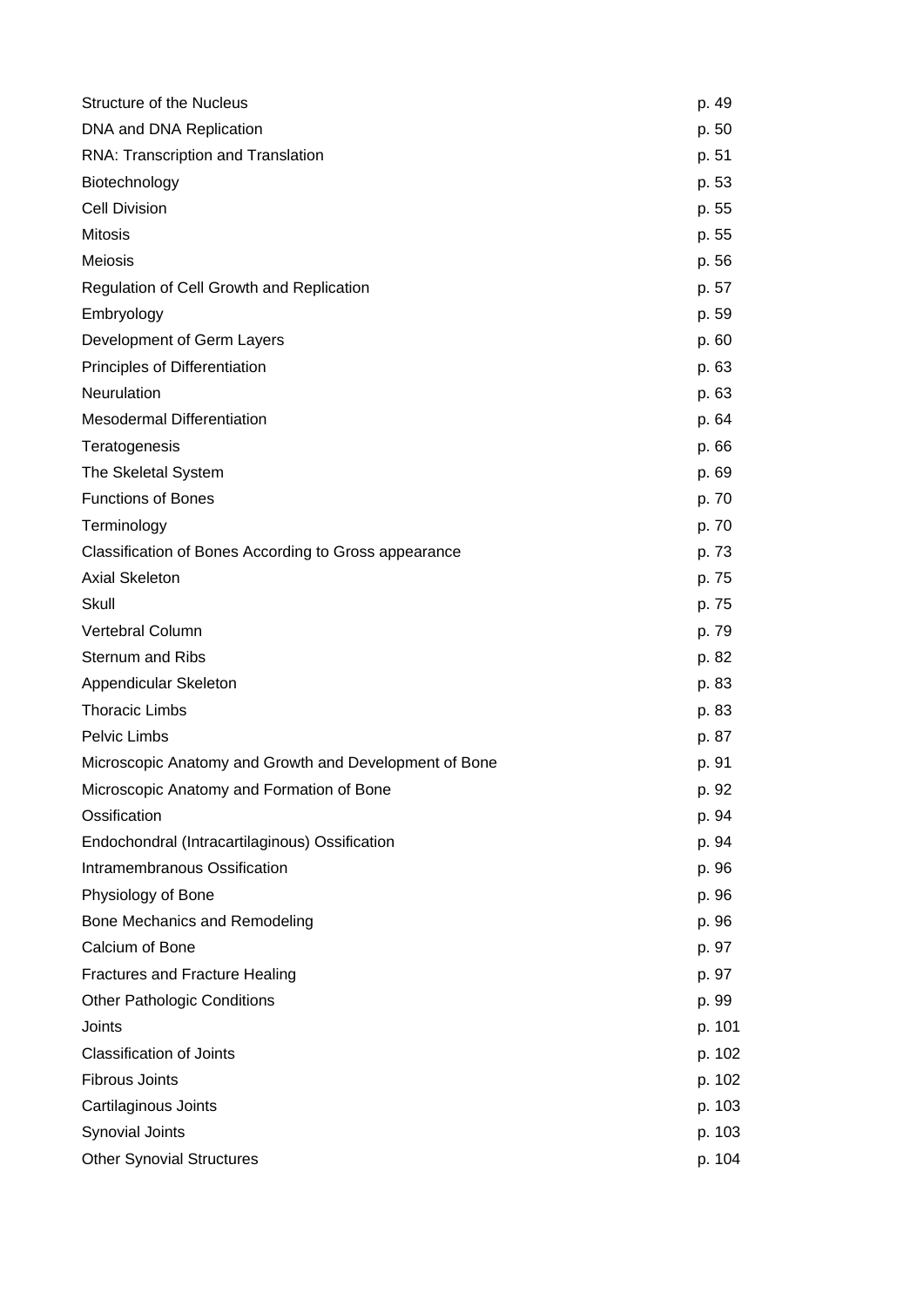| <b>Structure of the Nucleus</b>                        | p. 49  |
|--------------------------------------------------------|--------|
| DNA and DNA Replication                                | p. 50  |
| RNA: Transcription and Translation                     | p. 51  |
| Biotechnology                                          | p. 53  |
| <b>Cell Division</b>                                   | p. 55  |
| <b>Mitosis</b>                                         | p. 55  |
| <b>Meiosis</b>                                         | p. 56  |
| Regulation of Cell Growth and Replication              | p. 57  |
| Embryology                                             | p. 59  |
| Development of Germ Layers                             | p. 60  |
| Principles of Differentiation                          | p. 63  |
| Neurulation                                            | p. 63  |
| <b>Mesodermal Differentiation</b>                      | p. 64  |
| Teratogenesis                                          | p. 66  |
| The Skeletal System                                    | p. 69  |
| <b>Functions of Bones</b>                              | p. 70  |
| Terminology                                            | p. 70  |
| Classification of Bones According to Gross appearance  | p. 73  |
| <b>Axial Skeleton</b>                                  | p. 75  |
| Skull                                                  | p. 75  |
| Vertebral Column                                       | p. 79  |
| <b>Sternum and Ribs</b>                                | p. 82  |
| Appendicular Skeleton                                  | p. 83  |
| <b>Thoracic Limbs</b>                                  | p. 83  |
| Pelvic Limbs                                           | p. 87  |
| Microscopic Anatomy and Growth and Development of Bone | p. 91  |
| Microscopic Anatomy and Formation of Bone              | p. 92  |
| Ossification                                           | p. 94  |
| Endochondral (Intracartilaginous) Ossification         | p. 94  |
| Intramembranous Ossification                           | p. 96  |
| Physiology of Bone                                     | p. 96  |
| Bone Mechanics and Remodeling                          | p. 96  |
| Calcium of Bone                                        | p. 97  |
| <b>Fractures and Fracture Healing</b>                  | p. 97  |
| <b>Other Pathologic Conditions</b>                     | p. 99  |
| Joints                                                 | p. 101 |
| <b>Classification of Joints</b>                        | p. 102 |
| <b>Fibrous Joints</b>                                  | p. 102 |
| Cartilaginous Joints                                   | p. 103 |
| Synovial Joints                                        | p. 103 |
| <b>Other Synovial Structures</b>                       | p. 104 |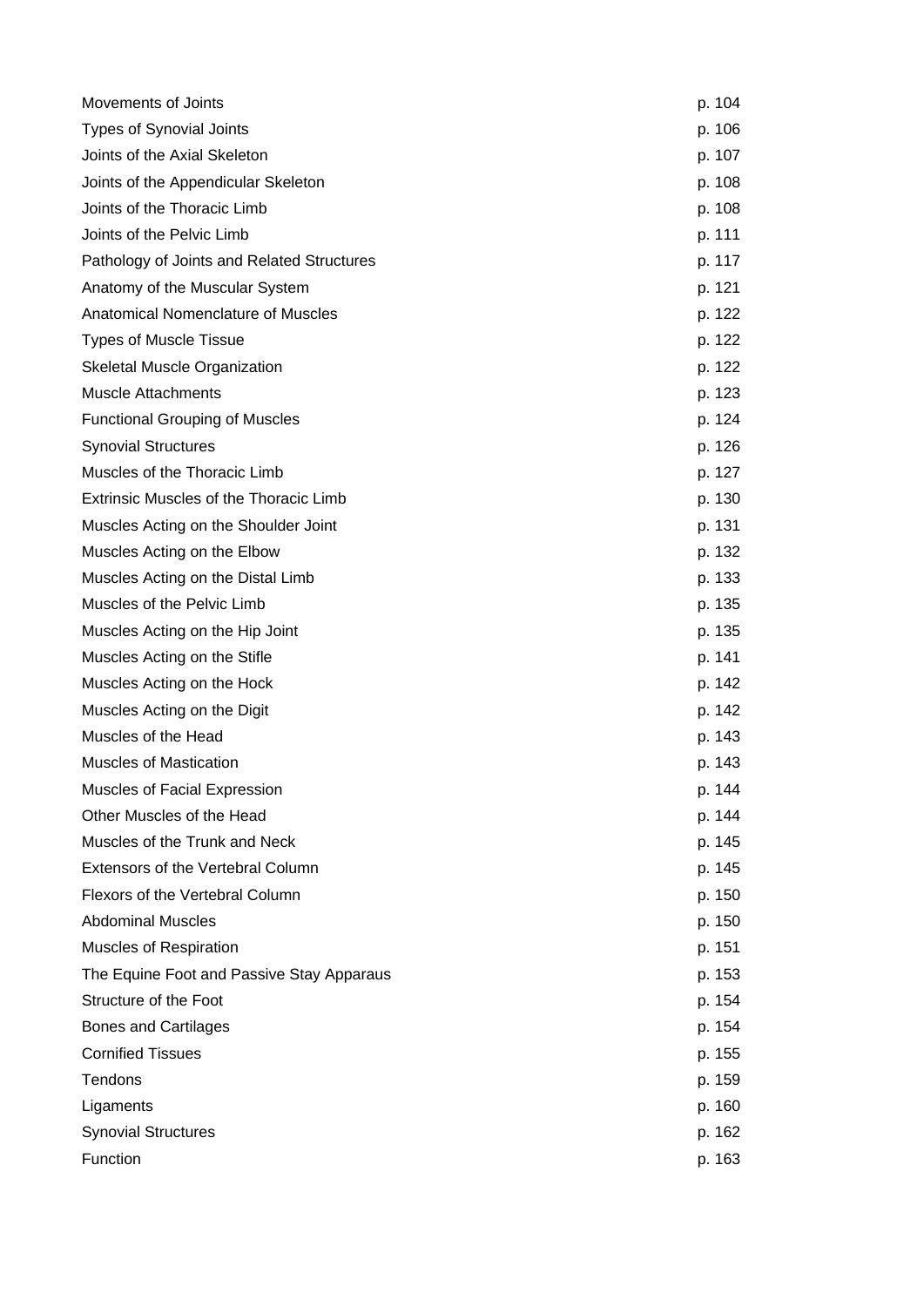| Movements of Joints                        | p. 104 |
|--------------------------------------------|--------|
| <b>Types of Synovial Joints</b>            | p. 106 |
| Joints of the Axial Skeleton               | p. 107 |
| Joints of the Appendicular Skeleton        | p. 108 |
| Joints of the Thoracic Limb                | p. 108 |
| Joints of the Pelvic Limb                  | p. 111 |
| Pathology of Joints and Related Structures | p. 117 |
| Anatomy of the Muscular System             | p. 121 |
| Anatomical Nomenclature of Muscles         | p. 122 |
| <b>Types of Muscle Tissue</b>              | p. 122 |
| Skeletal Muscle Organization               | p. 122 |
| <b>Muscle Attachments</b>                  | p. 123 |
| <b>Functional Grouping of Muscles</b>      | p. 124 |
| <b>Synovial Structures</b>                 | p. 126 |
| Muscles of the Thoracic Limb               | p. 127 |
| Extrinsic Muscles of the Thoracic Limb     | p. 130 |
| Muscles Acting on the Shoulder Joint       | p. 131 |
| Muscles Acting on the Elbow                | p. 132 |
| Muscles Acting on the Distal Limb          | p. 133 |
| Muscles of the Pelvic Limb                 | p. 135 |
| Muscles Acting on the Hip Joint            | p. 135 |
| Muscles Acting on the Stifle               | p. 141 |
| Muscles Acting on the Hock                 | p. 142 |
| Muscles Acting on the Digit                | p. 142 |
| Muscles of the Head                        | p. 143 |
| <b>Muscles of Mastication</b>              | p. 143 |
| Muscles of Facial Expression               | p. 144 |
| Other Muscles of the Head                  | p. 144 |
| Muscles of the Trunk and Neck              | p. 145 |
| Extensors of the Vertebral Column          | p. 145 |
| Flexors of the Vertebral Column            | p. 150 |
| <b>Abdominal Muscles</b>                   | p. 150 |
| Muscles of Respiration                     | p. 151 |
| The Equine Foot and Passive Stay Apparaus  | p. 153 |
| Structure of the Foot                      | p. 154 |
| <b>Bones and Cartilages</b>                | p. 154 |
| <b>Cornified Tissues</b>                   | p. 155 |
| Tendons                                    | p. 159 |
| Ligaments                                  | p. 160 |
| <b>Synovial Structures</b>                 | p. 162 |
| Function                                   | p. 163 |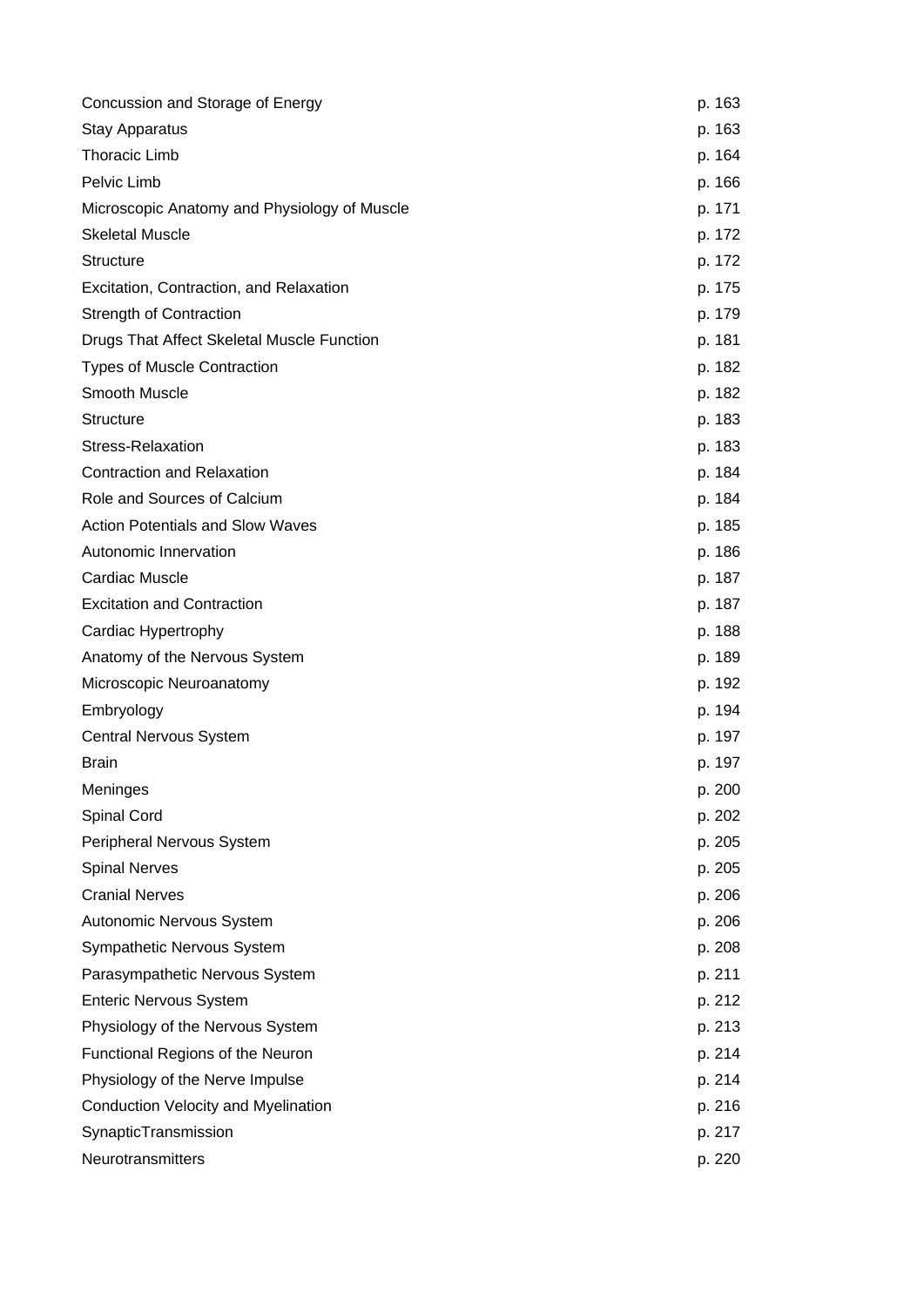| Concussion and Storage of Energy             | p. 163 |
|----------------------------------------------|--------|
| <b>Stay Apparatus</b>                        | p. 163 |
| <b>Thoracic Limb</b>                         | p. 164 |
| Pelvic Limb                                  | p. 166 |
| Microscopic Anatomy and Physiology of Muscle | p. 171 |
| <b>Skeletal Muscle</b>                       | p. 172 |
| <b>Structure</b>                             | p. 172 |
| Excitation, Contraction, and Relaxation      | p. 175 |
| <b>Strength of Contraction</b>               | p. 179 |
| Drugs That Affect Skeletal Muscle Function   | p. 181 |
| <b>Types of Muscle Contraction</b>           | p. 182 |
| Smooth Muscle                                | p. 182 |
| <b>Structure</b>                             | p. 183 |
| Stress-Relaxation                            | p. 183 |
| <b>Contraction and Relaxation</b>            | p. 184 |
| Role and Sources of Calcium                  | p. 184 |
| <b>Action Potentials and Slow Waves</b>      | p. 185 |
| Autonomic Innervation                        | p. 186 |
| <b>Cardiac Muscle</b>                        | p. 187 |
| <b>Excitation and Contraction</b>            | p. 187 |
| Cardiac Hypertrophy                          | p. 188 |
| Anatomy of the Nervous System                | p. 189 |
| Microscopic Neuroanatomy                     | p. 192 |
| Embryology                                   | p. 194 |
| <b>Central Nervous System</b>                | p. 197 |
| <b>Brain</b>                                 | p. 197 |
| Meninges                                     | p. 200 |
| <b>Spinal Cord</b>                           | p. 202 |
| Peripheral Nervous System                    | p. 205 |
| <b>Spinal Nerves</b>                         | p. 205 |
| <b>Cranial Nerves</b>                        | p. 206 |
| Autonomic Nervous System                     | p. 206 |
| Sympathetic Nervous System                   | p. 208 |
| Parasympathetic Nervous System               | p. 211 |
| <b>Enteric Nervous System</b>                | p. 212 |
| Physiology of the Nervous System             | p. 213 |
| Functional Regions of the Neuron             | p. 214 |
| Physiology of the Nerve Impulse              | p. 214 |
| Conduction Velocity and Myelination          | p. 216 |
| SynapticTransmission                         | p. 217 |
| Neurotransmitters                            | p. 220 |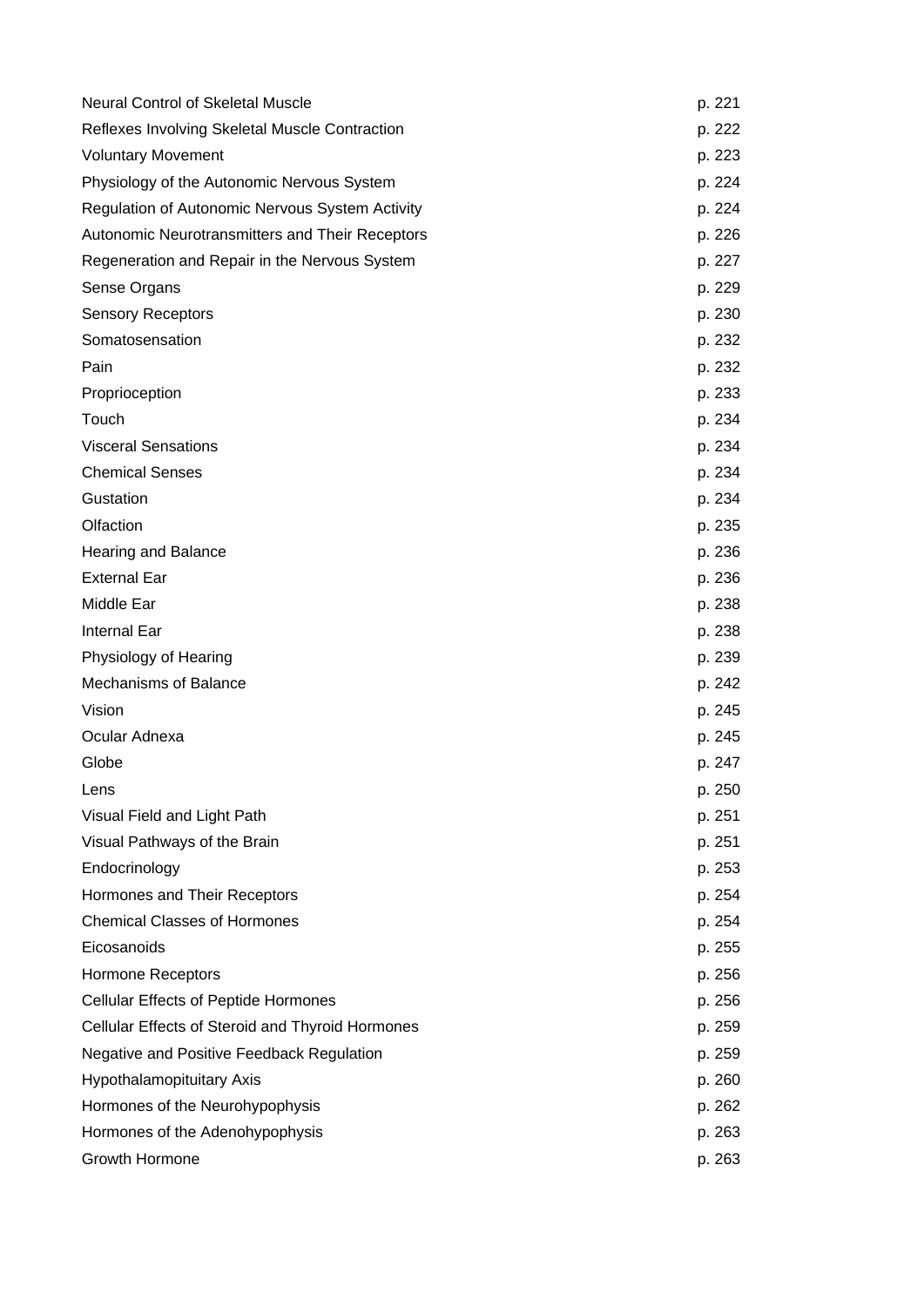| <b>Neural Control of Skeletal Muscle</b>         | p. 221 |
|--------------------------------------------------|--------|
| Reflexes Involving Skeletal Muscle Contraction   | p. 222 |
| <b>Voluntary Movement</b>                        | p. 223 |
| Physiology of the Autonomic Nervous System       | p. 224 |
| Regulation of Autonomic Nervous System Activity  | p. 224 |
| Autonomic Neurotransmitters and Their Receptors  | p. 226 |
| Regeneration and Repair in the Nervous System    | p. 227 |
| Sense Organs                                     | p. 229 |
| <b>Sensory Receptors</b>                         | p. 230 |
| Somatosensation                                  | p. 232 |
| Pain                                             | p. 232 |
| Proprioception                                   | p. 233 |
| Touch                                            | p. 234 |
| <b>Visceral Sensations</b>                       | p. 234 |
| <b>Chemical Senses</b>                           | p. 234 |
| Gustation                                        | p. 234 |
| Olfaction                                        | p. 235 |
| Hearing and Balance                              | p. 236 |
| <b>External Ear</b>                              | p. 236 |
| Middle Ear                                       | p. 238 |
| <b>Internal Ear</b>                              | p. 238 |
| Physiology of Hearing                            | p. 239 |
| <b>Mechanisms of Balance</b>                     | p. 242 |
| Vision                                           | p. 245 |
| Ocular Adnexa                                    | p. 245 |
| Globe                                            | p. 247 |
| Lens                                             | p. 250 |
| Visual Field and Light Path                      | p. 251 |
| Visual Pathways of the Brain                     | p. 251 |
| Endocrinology                                    | p. 253 |
| Hormones and Their Receptors                     | p. 254 |
| <b>Chemical Classes of Hormones</b>              | p. 254 |
| Eicosanoids                                      | p. 255 |
| <b>Hormone Receptors</b>                         | p. 256 |
| <b>Cellular Effects of Peptide Hormones</b>      | p. 256 |
| Cellular Effects of Steroid and Thyroid Hormones | p. 259 |
| Negative and Positive Feedback Regulation        | p. 259 |
| Hypothalamopituitary Axis                        | p. 260 |
| Hormones of the Neurohypophysis                  | p. 262 |
| Hormones of the Adenohypophysis                  | p. 263 |
| Growth Hormone                                   | p. 263 |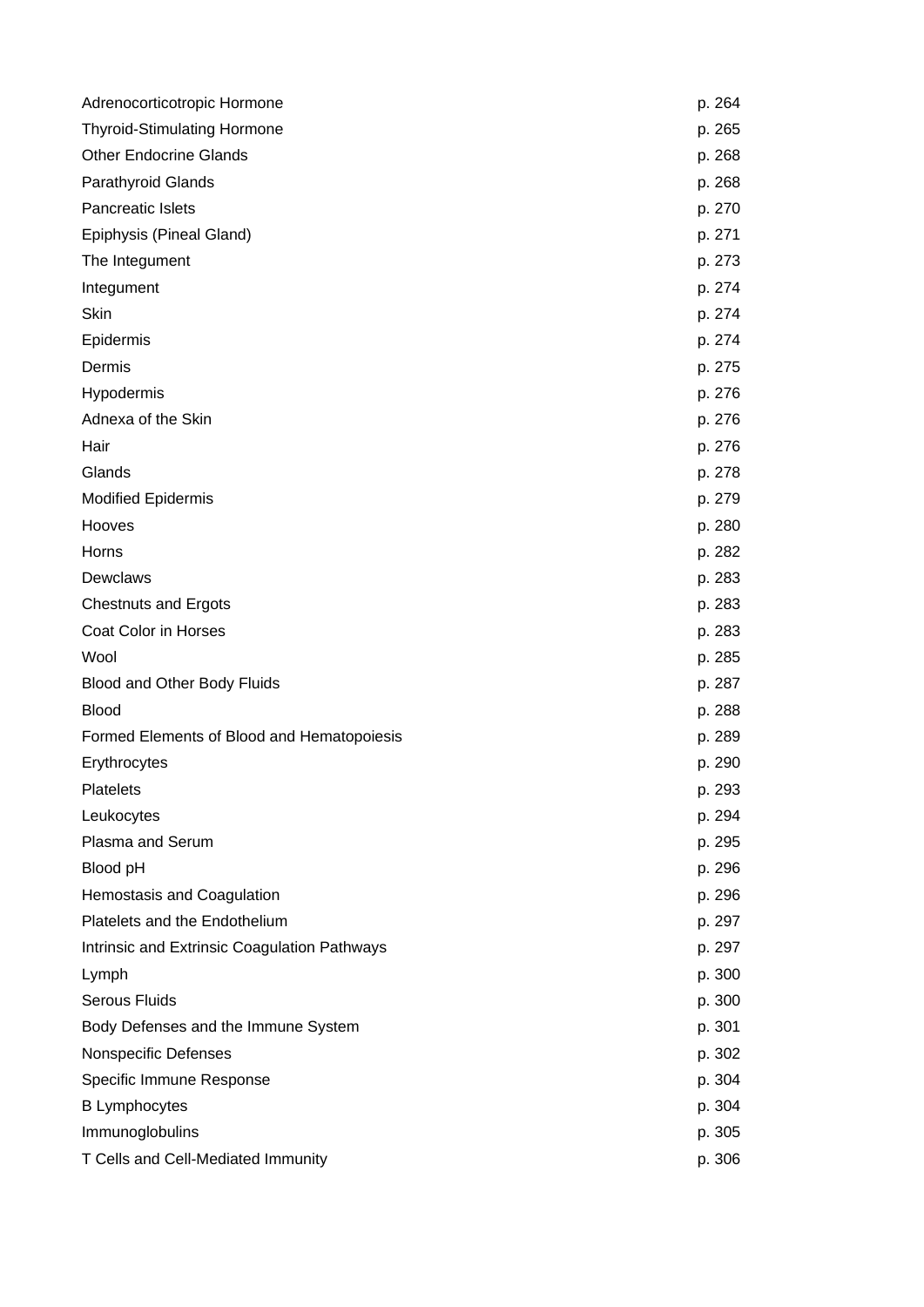| Adrenocorticotropic Hormone                  | p. 264 |
|----------------------------------------------|--------|
| <b>Thyroid-Stimulating Hormone</b>           | p. 265 |
| <b>Other Endocrine Glands</b>                | p. 268 |
| <b>Parathyroid Glands</b>                    | p. 268 |
| Pancreatic Islets                            | p. 270 |
| Epiphysis (Pineal Gland)                     | p. 271 |
| The Integument                               | p. 273 |
| Integument                                   | p. 274 |
| Skin                                         | p. 274 |
| Epidermis                                    | p. 274 |
| Dermis                                       | p. 275 |
| Hypodermis                                   | p. 276 |
| Adnexa of the Skin                           | p. 276 |
| Hair                                         | p. 276 |
| Glands                                       | p. 278 |
| <b>Modified Epidermis</b>                    | p. 279 |
| Hooves                                       | p. 280 |
| Horns                                        | p. 282 |
| Dewclaws                                     | p. 283 |
| <b>Chestnuts and Ergots</b>                  | p. 283 |
| Coat Color in Horses                         | p. 283 |
| Wool                                         | p. 285 |
| Blood and Other Body Fluids                  | p. 287 |
| <b>Blood</b>                                 | p. 288 |
| Formed Elements of Blood and Hematopoiesis   | p. 289 |
| Erythrocytes                                 | p. 290 |
| Platelets                                    | p. 293 |
| Leukocytes                                   | p. 294 |
| Plasma and Serum                             | p. 295 |
| Blood pH                                     | p. 296 |
| Hemostasis and Coagulation                   | p. 296 |
| Platelets and the Endothelium                | p. 297 |
| Intrinsic and Extrinsic Coagulation Pathways | p. 297 |
| Lymph                                        | p. 300 |
| <b>Serous Fluids</b>                         | p. 300 |
| Body Defenses and the Immune System          | p. 301 |
| Nonspecific Defenses                         | p. 302 |
| Specific Immune Response                     | p. 304 |
| <b>B</b> Lymphocytes                         | p. 304 |
| Immunoglobulins                              | p. 305 |
| T Cells and Cell-Mediated Immunity           | p. 306 |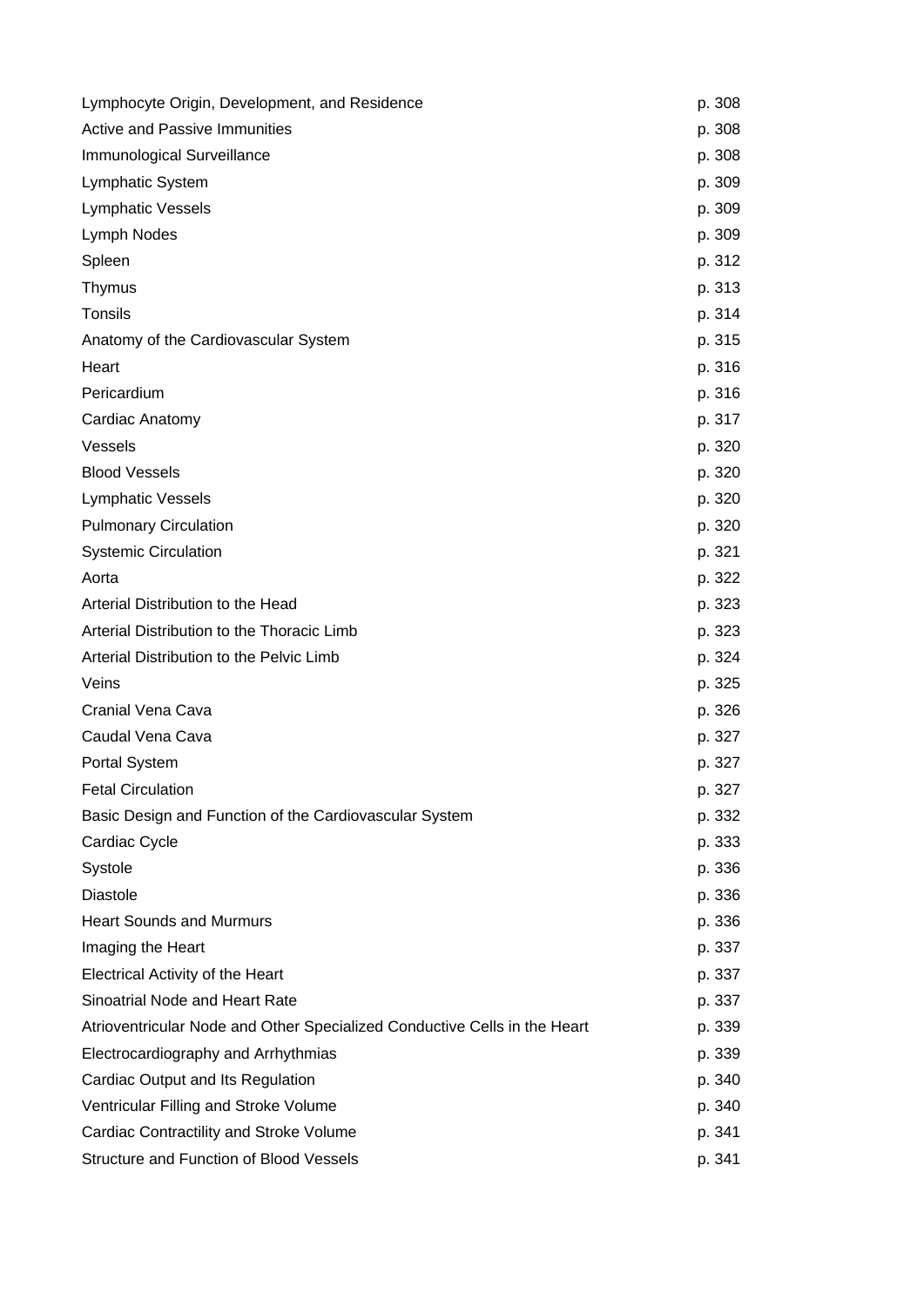| Lymphocyte Origin, Development, and Residence                             | p. 308 |
|---------------------------------------------------------------------------|--------|
| <b>Active and Passive Immunities</b>                                      | p. 308 |
| Immunological Surveillance                                                | p. 308 |
| <b>Lymphatic System</b>                                                   | p. 309 |
| <b>Lymphatic Vessels</b>                                                  | p. 309 |
| Lymph Nodes                                                               | p. 309 |
| Spleen                                                                    | p. 312 |
| Thymus                                                                    | p. 313 |
| Tonsils                                                                   | p. 314 |
| Anatomy of the Cardiovascular System                                      | p. 315 |
| Heart                                                                     | p. 316 |
| Pericardium                                                               | p. 316 |
| Cardiac Anatomy                                                           | p. 317 |
| Vessels                                                                   | p. 320 |
| <b>Blood Vessels</b>                                                      | p. 320 |
| <b>Lymphatic Vessels</b>                                                  | p. 320 |
| <b>Pulmonary Circulation</b>                                              | p. 320 |
| <b>Systemic Circulation</b>                                               | p. 321 |
| Aorta                                                                     | p. 322 |
| Arterial Distribution to the Head                                         | p. 323 |
| Arterial Distribution to the Thoracic Limb                                | p. 323 |
| Arterial Distribution to the Pelvic Limb                                  | p. 324 |
| Veins                                                                     | p. 325 |
| Cranial Vena Cava                                                         | p. 326 |
| Caudal Vena Cava                                                          | p. 327 |
| <b>Portal System</b>                                                      | p. 327 |
| <b>Fetal Circulation</b>                                                  | p. 327 |
| Basic Design and Function of the Cardiovascular System                    | p. 332 |
| Cardiac Cycle                                                             | p. 333 |
| Systole                                                                   | p. 336 |
| <b>Diastole</b>                                                           | p. 336 |
| <b>Heart Sounds and Murmurs</b>                                           | p. 336 |
| Imaging the Heart                                                         | p. 337 |
| <b>Electrical Activity of the Heart</b>                                   | p. 337 |
| Sinoatrial Node and Heart Rate                                            | p. 337 |
| Atrioventricular Node and Other Specialized Conductive Cells in the Heart | p. 339 |
| Electrocardiography and Arrhythmias                                       | p. 339 |
| Cardiac Output and Its Regulation                                         | p. 340 |
| Ventricular Filling and Stroke Volume                                     | p. 340 |
| Cardiac Contractility and Stroke Volume                                   | p. 341 |
| <b>Structure and Function of Blood Vessels</b>                            | p. 341 |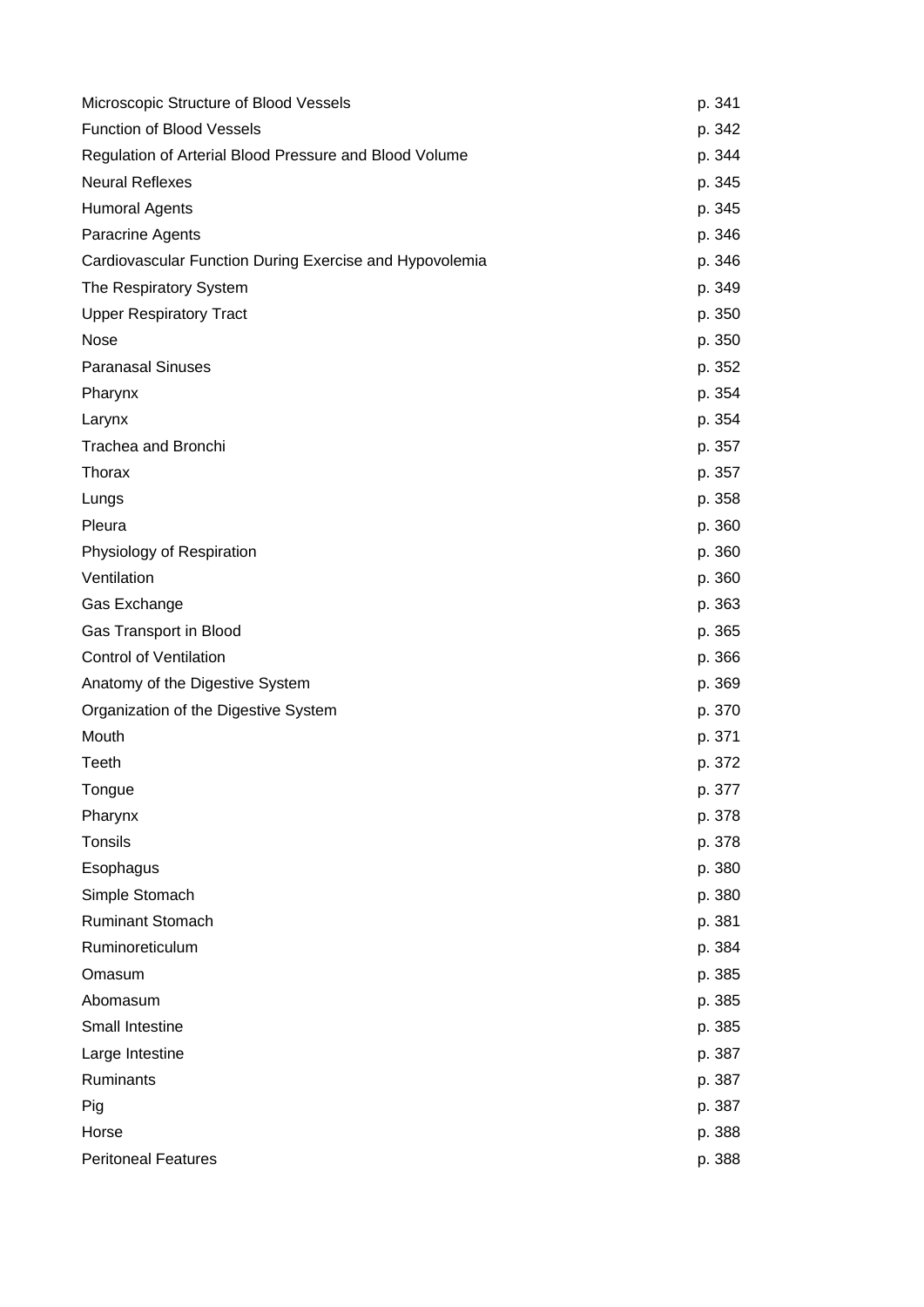| Microscopic Structure of Blood Vessels                  | p. 341 |
|---------------------------------------------------------|--------|
| Function of Blood Vessels                               | p. 342 |
| Regulation of Arterial Blood Pressure and Blood Volume  | p. 344 |
| <b>Neural Reflexes</b>                                  | p. 345 |
| <b>Humoral Agents</b>                                   | p. 345 |
| Paracrine Agents                                        | p. 346 |
| Cardiovascular Function During Exercise and Hypovolemia | p. 346 |
| The Respiratory System                                  | p. 349 |
| <b>Upper Respiratory Tract</b>                          | p. 350 |
| <b>Nose</b>                                             | p. 350 |
| <b>Paranasal Sinuses</b>                                | p. 352 |
| Pharynx                                                 | p. 354 |
| Larynx                                                  | p. 354 |
| Trachea and Bronchi                                     | p. 357 |
| Thorax                                                  | p. 357 |
| Lungs                                                   | p. 358 |
| Pleura                                                  | p. 360 |
| Physiology of Respiration                               | p. 360 |
| Ventilation                                             | p. 360 |
| Gas Exchange                                            | p. 363 |
| Gas Transport in Blood                                  | p. 365 |
| <b>Control of Ventilation</b>                           | p. 366 |
| Anatomy of the Digestive System                         | p. 369 |
| Organization of the Digestive System                    | p. 370 |
| Mouth                                                   | p. 371 |
| Teeth                                                   | p. 372 |
| Tongue                                                  | p. 377 |
| Pharynx                                                 | p. 378 |
| Tonsils                                                 | p. 378 |
| Esophagus                                               | p. 380 |
| Simple Stomach                                          | p. 380 |
| <b>Ruminant Stomach</b>                                 | p. 381 |
| Ruminoreticulum                                         | p. 384 |
| Omasum                                                  | p. 385 |
| Abomasum                                                | p. 385 |
| Small Intestine                                         | p. 385 |
| Large Intestine                                         | p. 387 |
| Ruminants                                               | p. 387 |
| Pig                                                     | p. 387 |
| Horse                                                   | p. 388 |
| <b>Peritoneal Features</b>                              | p. 388 |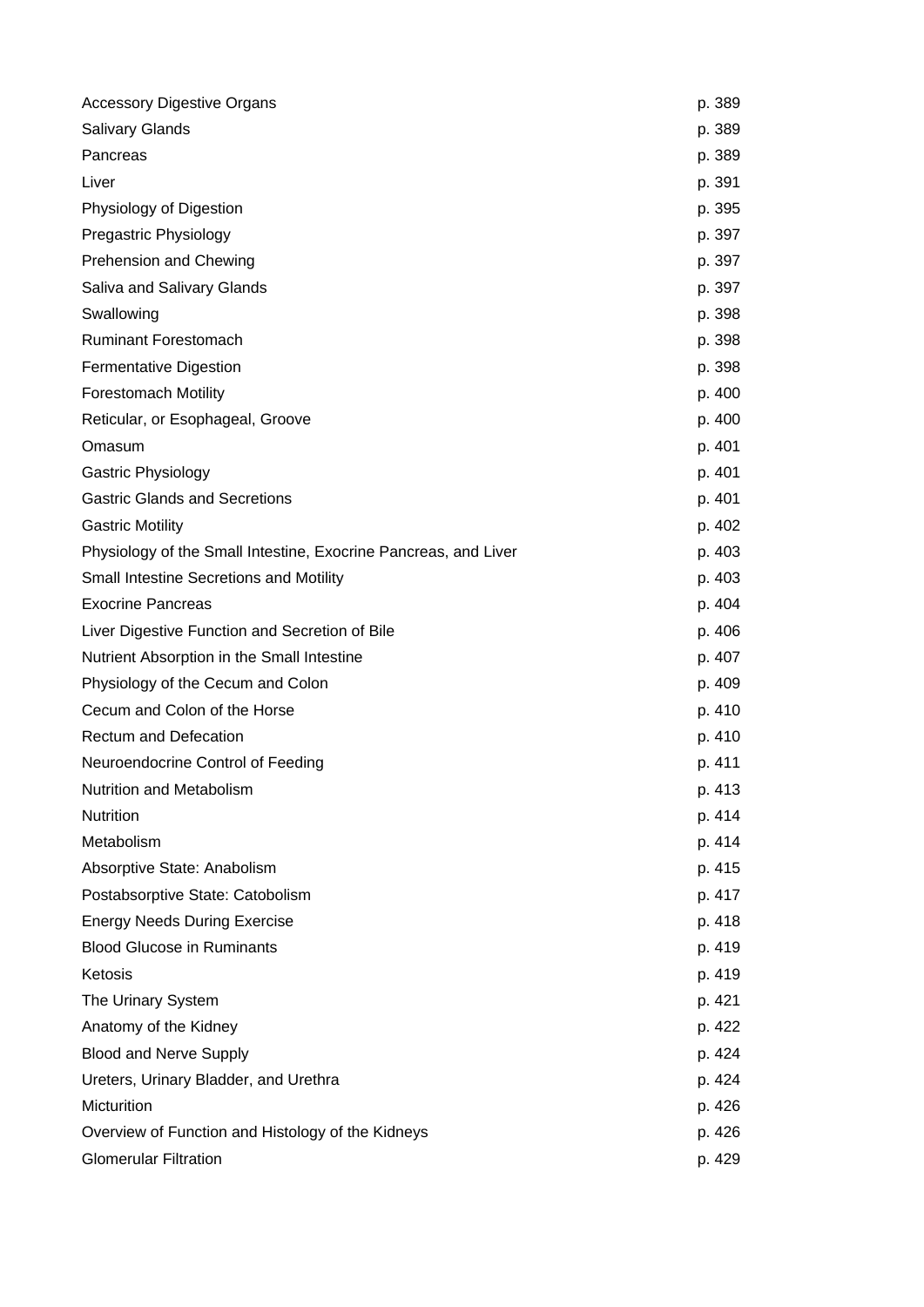| <b>Accessory Digestive Organs</b>                               | p. 389 |
|-----------------------------------------------------------------|--------|
| <b>Salivary Glands</b>                                          | p. 389 |
| Pancreas                                                        | p. 389 |
| Liver                                                           | p. 391 |
| Physiology of Digestion                                         | p. 395 |
| Pregastric Physiology                                           | p. 397 |
| <b>Prehension and Chewing</b>                                   | p. 397 |
| Saliva and Salivary Glands                                      | p. 397 |
| Swallowing                                                      | p. 398 |
| <b>Ruminant Forestomach</b>                                     | p. 398 |
| Fermentative Digestion                                          | p. 398 |
| <b>Forestomach Motility</b>                                     | p. 400 |
| Reticular, or Esophageal, Groove                                | p. 400 |
| Omasum                                                          | p. 401 |
| <b>Gastric Physiology</b>                                       | p. 401 |
| <b>Gastric Glands and Secretions</b>                            | p. 401 |
| <b>Gastric Motility</b>                                         | p. 402 |
| Physiology of the Small Intestine, Exocrine Pancreas, and Liver | p. 403 |
| Small Intestine Secretions and Motility                         | p. 403 |
| <b>Exocrine Pancreas</b>                                        | p. 404 |
| Liver Digestive Function and Secretion of Bile                  | p. 406 |
| Nutrient Absorption in the Small Intestine                      | p. 407 |
| Physiology of the Cecum and Colon                               | p. 409 |
| Cecum and Colon of the Horse                                    | p. 410 |
| <b>Rectum and Defecation</b>                                    | p. 410 |
| Neuroendocrine Control of Feeding                               | p. 411 |
| Nutrition and Metabolism                                        | p. 413 |
| Nutrition                                                       | p. 414 |
| Metabolism                                                      | p. 414 |
| Absorptive State: Anabolism                                     | p. 415 |
| Postabsorptive State: Catobolism                                | p. 417 |
| <b>Energy Needs During Exercise</b>                             | p. 418 |
| <b>Blood Glucose in Ruminants</b>                               | p. 419 |
| Ketosis                                                         | p. 419 |
| The Urinary System                                              | p. 421 |
| Anatomy of the Kidney                                           | p. 422 |
| <b>Blood and Nerve Supply</b>                                   | p. 424 |
| Ureters, Urinary Bladder, and Urethra                           | p. 424 |
| Micturition                                                     | p. 426 |
| Overview of Function and Histology of the Kidneys               | p. 426 |
| <b>Glomerular Filtration</b>                                    | p. 429 |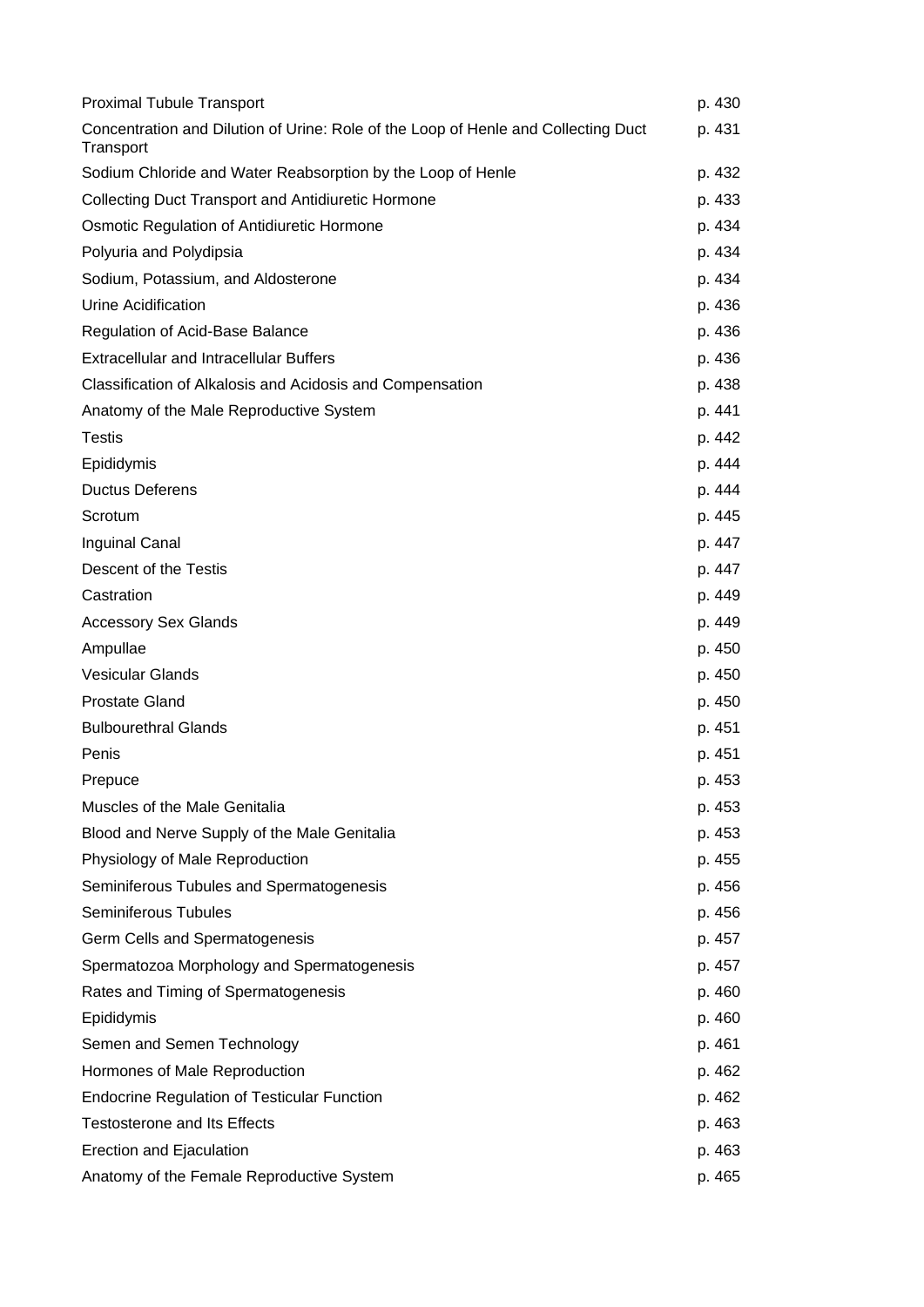| <b>Proximal Tubule Transport</b>                                                                | p. 430 |
|-------------------------------------------------------------------------------------------------|--------|
| Concentration and Dilution of Urine: Role of the Loop of Henle and Collecting Duct<br>Transport | p. 431 |
| Sodium Chloride and Water Reabsorption by the Loop of Henle                                     | p. 432 |
| <b>Collecting Duct Transport and Antidiuretic Hormone</b>                                       | p. 433 |
| Osmotic Regulation of Antidiuretic Hormone                                                      | p. 434 |
| Polyuria and Polydipsia                                                                         | p. 434 |
| Sodium, Potassium, and Aldosterone                                                              | p. 434 |
| Urine Acidification                                                                             | p. 436 |
| Regulation of Acid-Base Balance                                                                 | p. 436 |
| <b>Extracellular and Intracellular Buffers</b>                                                  | p. 436 |
| Classification of Alkalosis and Acidosis and Compensation                                       | p. 438 |
| Anatomy of the Male Reproductive System                                                         | p. 441 |
| <b>Testis</b>                                                                                   | p. 442 |
| Epididymis                                                                                      | p. 444 |
| <b>Ductus Deferens</b>                                                                          | p. 444 |
| Scrotum                                                                                         | p. 445 |
| <b>Inguinal Canal</b>                                                                           | p. 447 |
| Descent of the Testis                                                                           | p. 447 |
| Castration                                                                                      | p. 449 |
| <b>Accessory Sex Glands</b>                                                                     | p. 449 |
| Ampullae                                                                                        | p. 450 |
| <b>Vesicular Glands</b>                                                                         | p. 450 |
| <b>Prostate Gland</b>                                                                           | p. 450 |
| <b>Bulbourethral Glands</b>                                                                     | p. 451 |
| Penis                                                                                           | p. 451 |
| Prepuce                                                                                         | p. 453 |
| Muscles of the Male Genitalia                                                                   | p. 453 |
| Blood and Nerve Supply of the Male Genitalia                                                    | p. 453 |
| Physiology of Male Reproduction                                                                 | p. 455 |
| Seminiferous Tubules and Spermatogenesis                                                        | p. 456 |
| Seminiferous Tubules                                                                            | p. 456 |
| Germ Cells and Spermatogenesis                                                                  | p. 457 |
| Spermatozoa Morphology and Spermatogenesis                                                      | p. 457 |
| Rates and Timing of Spermatogenesis                                                             | p. 460 |
| Epididymis                                                                                      | p. 460 |
| Semen and Semen Technology                                                                      | p. 461 |
| Hormones of Male Reproduction                                                                   | p. 462 |
| <b>Endocrine Regulation of Testicular Function</b>                                              | p. 462 |
| <b>Testosterone and Its Effects</b>                                                             | p. 463 |
| Erection and Ejaculation                                                                        | p. 463 |
| Anatomy of the Female Reproductive System                                                       | p. 465 |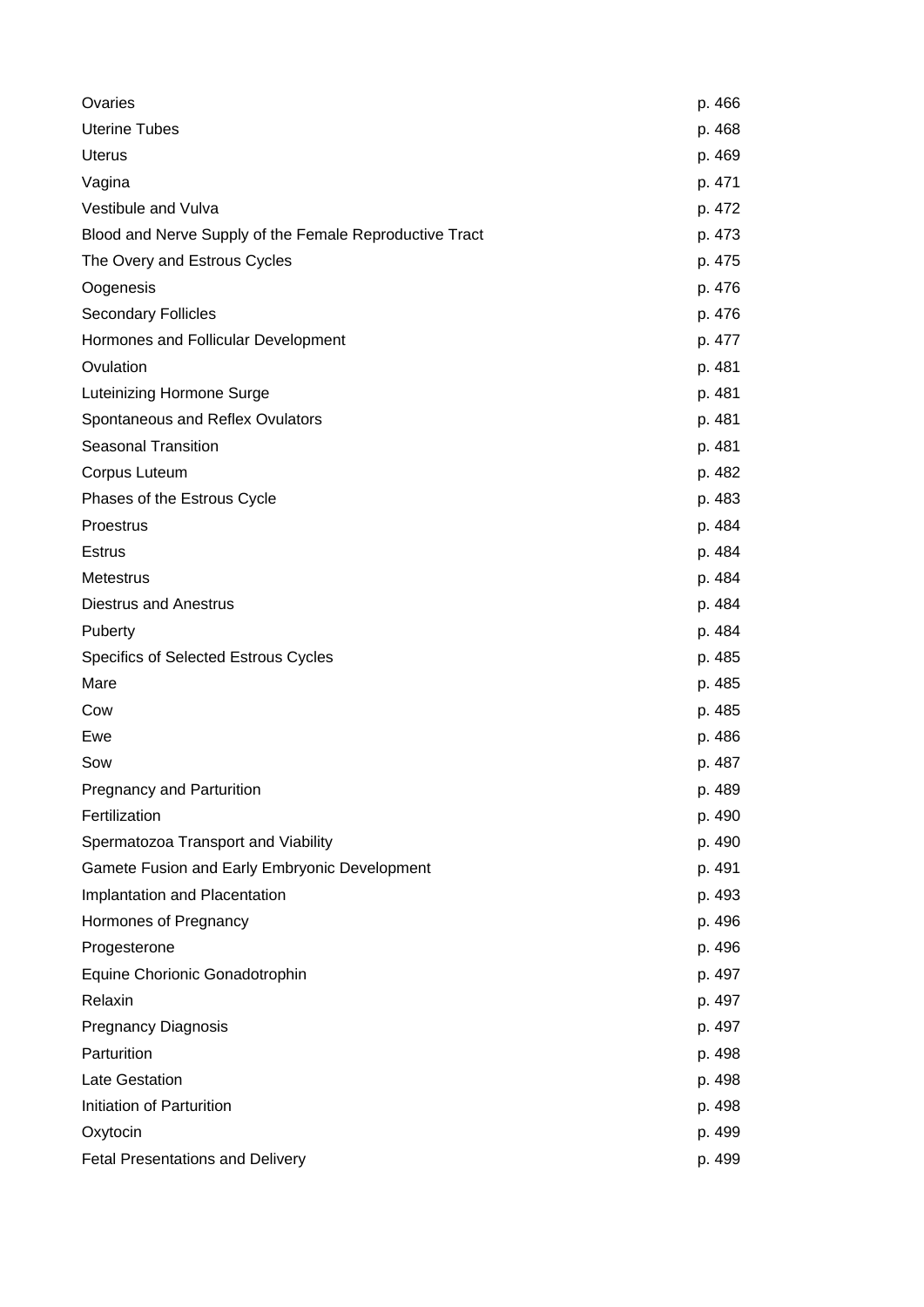| Ovaries                                                 | p. 466 |
|---------------------------------------------------------|--------|
| <b>Uterine Tubes</b>                                    | p. 468 |
| <b>Uterus</b>                                           | p. 469 |
| Vagina                                                  | p. 471 |
| Vestibule and Vulva                                     | p. 472 |
| Blood and Nerve Supply of the Female Reproductive Tract | p. 473 |
| The Overy and Estrous Cycles                            | p. 475 |
| Oogenesis                                               | p. 476 |
| <b>Secondary Follicles</b>                              | p. 476 |
| Hormones and Follicular Development                     | p. 477 |
| Ovulation                                               | p. 481 |
| Luteinizing Hormone Surge                               | p. 481 |
| Spontaneous and Reflex Ovulators                        | p. 481 |
| <b>Seasonal Transition</b>                              | p. 481 |
| Corpus Luteum                                           | p. 482 |
| Phases of the Estrous Cycle                             | p. 483 |
| Proestrus                                               | p. 484 |
| <b>Estrus</b>                                           | p. 484 |
| <b>Metestrus</b>                                        | p. 484 |
| <b>Diestrus and Anestrus</b>                            | p. 484 |
| Puberty                                                 | p. 484 |
| Specifics of Selected Estrous Cycles                    | p. 485 |
| Mare                                                    | p. 485 |
| Cow                                                     | p. 485 |
| Ewe                                                     | p. 486 |
| Sow                                                     | p. 487 |
| <b>Pregnancy and Parturition</b>                        | p. 489 |
| Fertilization                                           | p. 490 |
| Spermatozoa Transport and Viability                     | p. 490 |
| Gamete Fusion and Early Embryonic Development           | p. 491 |
| Implantation and Placentation                           | p. 493 |
| Hormones of Pregnancy                                   | p. 496 |
| Progesterone                                            | p. 496 |
| Equine Chorionic Gonadotrophin                          | p. 497 |
| Relaxin                                                 | p. 497 |
| <b>Pregnancy Diagnosis</b>                              | p. 497 |
| Parturition                                             | p. 498 |
| <b>Late Gestation</b>                                   | p. 498 |
| Initiation of Parturition                               | p. 498 |
| Oxytocin                                                | p. 499 |
| <b>Fetal Presentations and Delivery</b>                 | p. 499 |